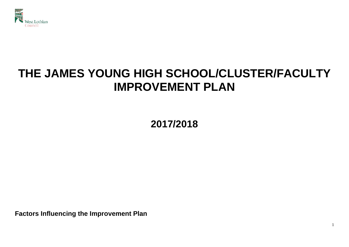

# **THE JAMES YOUNG HIGH SCHOOL/CLUSTER/FACULTY IMPROVEMENT PLAN**

**2017/2018**

**Factors Influencing the Improvement Plan**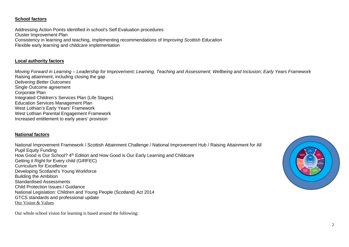# **School factors**

Addressing Action Points identified in school's Self Evaluation procedures Cluster Improvement Plan Consistency in learning and teaching, implementing recommendations of *Improving Scottish Education* Flexible early learning and childcare implementation

# **Local authority factors**

*Moving Forward in Learning – Leadership for Improvement; Learning, Teaching and Assessment; Wellbeing and Inclusion; Early Years Framework* Raising attainment, including closing the gap *Delivering Better Outcomes* Single Outcome agreement Corporate Plan Integrated Children's Services Plan (Life Stages) Education Services Management Plan West Lothian's Early Years' Framework West Lothian Parental Engagement Framework Increased entitlement to early years' provision

# **National factors**

National Improvement Framework / Scottish Attainment Challenge / National Improvement Hub / Raising Attainment for All Pupil Equity Funding How Good is Our School? 4<sup>th</sup> Edition and How Good is Our Early Learning and Childcare Getting it Right for Every child (GIRFEC) Curriculum for Excellence Developing Scotland's Young Workforce Building the Ambition Standardised Assessments Child Protection Issues / Guidance National Legislation: Children and Young People (Scotland) Act 2014 GTCS standards and professional update Our Vision & Values



Our whole school vision for learning is based around the following: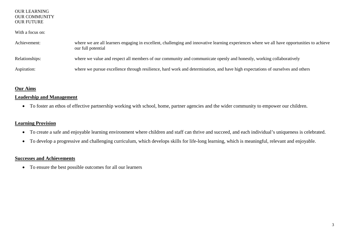## OUR LEARNING OUR COMMUNITY OUR FUTURE

# With a focus on:

| Achievement:   | where we are all learners engaging in excellent, challenging and innovative learning experiences where we all have opportunities to achieve<br>our full potential |
|----------------|-------------------------------------------------------------------------------------------------------------------------------------------------------------------|
| Relationships: | where we value and respect all members of our community and communicate openly and honestly, working collaboratively                                              |
| Aspiration:    | where we pursue excellence through resilience, hard work and determination, and have high expectations of ourselves and others                                    |

# **Our Aims**

# **Leadership and Management**

• To foster an ethos of effective partnership working with school, home, partner agencies and the wider community to empower our children.

# **Learning Provision**

- To create a safe and enjoyable learning environment where children and staff can thrive and succeed, and each individual's uniqueness is celebrated.
- To develop a progressive and challenging curriculum, which develops skills for life-long learning, which is meaningful, relevant and enjoyable.

# **Successes and Achievements**

• To ensure the best possible outcomes for all our learners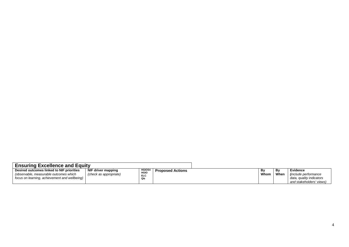| <b>Ensuring Excellence and Equity</b>                                                                                                |                                              |                                                   |                         |            |            |                                                                                                        |
|--------------------------------------------------------------------------------------------------------------------------------------|----------------------------------------------|---------------------------------------------------|-------------------------|------------|------------|--------------------------------------------------------------------------------------------------------|
| Desired outcomes linked to NIF priorities<br>(observable, measurable outcomes which<br>focus on learning, achievement and wellbeing) | NIF driver mapping<br>(check as appropriate) | <b>HGIOS4</b><br><b>HGIO</b><br><b>ELC</b><br>QIs | <b>Proposed Actions</b> | Bv<br>Whom | Bv<br>When | <b>Evidence</b><br><i>linclude performance</i><br>data, quality indicators<br>and stakeholders' views) |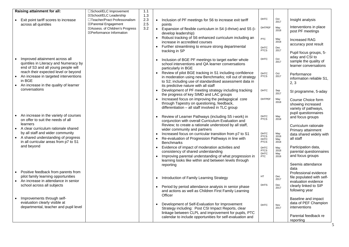|                        | Raising attainment for all:                                                                                                      | □School/ELC Improvement                                                             | 1.1        |           |                                                                                                                                                                                                                          |                                                   |                            |                                                                           |
|------------------------|----------------------------------------------------------------------------------------------------------------------------------|-------------------------------------------------------------------------------------|------------|-----------|--------------------------------------------------------------------------------------------------------------------------------------------------------------------------------------------------------------------------|---------------------------------------------------|----------------------------|---------------------------------------------------------------------------|
|                        |                                                                                                                                  | ⊠School/ELC Leadership                                                              | 1.3        |           |                                                                                                                                                                                                                          |                                                   |                            |                                                                           |
|                        | Exit point tariff scores to increase                                                                                             | □Teacher/Pract Professonalism                                                       | 2.3        |           | Inclusion of PF meetings for S6 to increase exit tariff                                                                                                                                                                  | <b>DHTC</b>                                       | Oct<br>2017                | Insight analysis                                                          |
|                        | across all quintiles                                                                                                             | ⊠Parental Engagement<br>⊠Assess. of Children's Progress<br>⊠Performance Information | 2.5<br>3.2 |           | points<br>• Expansion of flexible curriculum in S4 (i-thrive) and S5 (i-<br>develop leadership)                                                                                                                          | <b>DHTPEF</b>                                     | May<br>2018                | Interventions in place<br>post PF meetings                                |
|                        |                                                                                                                                  |                                                                                     |            |           | • Robust tracking of S6 enhanced curriculum including an<br>increase in accredited courses                                                                                                                               | <b>PTC</b>                                        | May<br>2018                | <b>Increased RAG</b><br>accuracy post result                              |
|                        |                                                                                                                                  |                                                                                     |            |           | Further streamlining to ensure strong departmental<br>tracking in SP                                                                                                                                                     | DHTC<br><b>PTCS</b>                               | Dec<br>2017                | Pupil focus groups, 5-                                                    |
| $\bullet$              | Improved attainment across all<br>quintiles in Literacy and Numeracy by<br>end of S3 and all young people will                   |                                                                                     |            | $\bullet$ | Inclusion of BGE PF meetings to target earlier whole<br>school interventions and QA learner conversations<br>particularly in BGE                                                                                         | <b>DHTC</b>                                       | Oct<br>2017                | aday and CSI to<br>sample the quality of<br>learner conversations         |
| $\bullet$              | reach their expected level or beyond<br>An increase in targeted interventions<br>in BGE<br>An increase in the quality of learner |                                                                                     |            |           | • Review of pilot BGE tracking in S1 including confidence<br>in moderation using new Benchmarks; roll out of strategy<br>to S2; including use of standardised assessment data in<br>its predictive nature with all staff | DHTC<br><b>PTCS</b>                               | Oct<br>2017                | Performance<br>information reliable S1,<br>2, 3                           |
|                        | conversations                                                                                                                    |                                                                                     |            |           | • Development of PF meeting strategy including tracking<br>the progress of key SIMD and LAC groups                                                                                                                       | <b>DHTC</b>                                       | Sep<br>2017                | SI programme, 5-aday                                                      |
|                        |                                                                                                                                  |                                                                                     |            |           | Increased focus on improving the pedagogical core<br>through Tapestry on questioning, feedback,<br>differentiation - all staff involved in TLC group                                                                     | <b>DHTPEF</b>                                     | May<br>2018                | Course Choice form<br>showing increased<br>variety of pathways,           |
|                        | An increase in the variety of courses<br>on offer to suit the needs of all                                                       |                                                                                     |            |           | Review of Learner Pathways (including S5 i-work) in<br>conjunction with overall Curriculum Evaluation and                                                                                                                | <b>DHTC</b><br><b>PTCS</b>                        | May<br>2018                | pupil questionnaires<br>and focus groups                                  |
| $\bullet$              | learners<br>A clear curriculum rationale shared<br>by all staff and wider community                                              |                                                                                     |            |           | Review; to create a rationale understood by all staff,<br>wider community and partners                                                                                                                                   |                                                   |                            | Curriculum rationale<br>Primary attainment                                |
| $\bullet$              | A shared understanding of progress<br>in all curricular areas from p7 to S1                                                      |                                                                                     |            |           | Increased focus on curricular transition from p7 to S1<br>Re-evaluation of Progression Pathways in line with<br><b>Benchmarks</b>                                                                                        | DHTC<br><b>PTCS</b><br><b>DHTC</b><br><b>PTCS</b> | May<br>2018<br>May<br>2018 | data shared widely with<br>all staff                                      |
|                        | and beyond                                                                                                                       |                                                                                     |            |           | Evidence of impact of moderation activities and<br>consistency of shared understanding<br>Improving parental understanding of what progression in<br>learning looks like within and between levels through               | <b>DHTC</b><br><b>PTCS</b><br>DHTC<br><b>PTC</b>  | May<br>2018<br>May<br>2018 | Participation data,<br>parental questionnaires<br>and focus groups        |
|                        |                                                                                                                                  |                                                                                     |            |           | reporting                                                                                                                                                                                                                |                                                   |                            | Seemis attendance<br>data                                                 |
| $\bullet$<br>$\bullet$ | Positive feedback from parents from<br>pilot family learning opportunities<br>An increase in attendance in senior                |                                                                                     |            |           | • Introduction of Family Learning Strategy                                                                                                                                                                               | HT                                                | Dec<br>2017                | Professional evidence<br>file populated with self-<br>evaluation evidence |
|                        | school across all subjects                                                                                                       |                                                                                     |            |           | Period by period attendance analysis in senior phase<br>and actions as well as Children First Family Learning<br>Officer                                                                                                 | <b>DHTS</b>                                       | Dec<br>2017                | clearly linked to SIP<br>following year                                   |
| $\bullet$              | Improvements through self-<br>evaluation clearly visible at<br>departmental, teacher and pupil level                             |                                                                                     |            |           | Development of Self-Evaluation for Improvement<br>Strategy including: Post CSI Impact Reports, clear                                                                                                                     | <b>DHTC</b>                                       | Nov<br>2017                | Baseline and impact<br>data of PEF Champion<br>interventions              |
|                        |                                                                                                                                  |                                                                                     |            |           | linkage between CLPL and improvement for pupils, PTC<br>calendar to include opportunities for self-evaluation and                                                                                                        |                                                   |                            | Parental feedback re<br>reporting                                         |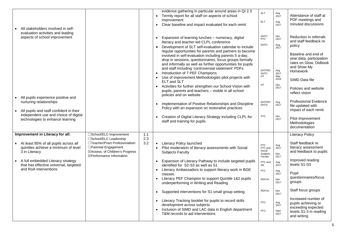| All stakeholders involved in self-                                                                                                                                                                                                                          |                                                                                                                                                                                      |                   | evidence gathering in particular around areas in QI 2.3<br>• Termly report for all staff on aspects of school<br>improvement<br>• Clear baseline and impact evaluated for each remit                                                                                                                                                                                                                                                                                                                                                                                                                                                                                                                                                                                                                                                                                                                                   | <b>SLT</b><br>ELT                                                                                                                  | Aug<br>2017<br>Aug<br>2017                                                                                            | Attendance of staff at<br>PDF meetings and<br>minuted discussions                                                                                                                                                                                                                                                               |
|-------------------------------------------------------------------------------------------------------------------------------------------------------------------------------------------------------------------------------------------------------------|--------------------------------------------------------------------------------------------------------------------------------------------------------------------------------------|-------------------|------------------------------------------------------------------------------------------------------------------------------------------------------------------------------------------------------------------------------------------------------------------------------------------------------------------------------------------------------------------------------------------------------------------------------------------------------------------------------------------------------------------------------------------------------------------------------------------------------------------------------------------------------------------------------------------------------------------------------------------------------------------------------------------------------------------------------------------------------------------------------------------------------------------------|------------------------------------------------------------------------------------------------------------------------------------|-----------------------------------------------------------------------------------------------------------------------|---------------------------------------------------------------------------------------------------------------------------------------------------------------------------------------------------------------------------------------------------------------------------------------------------------------------------------|
| evaluation activities and leading<br>aspects of school improvement<br>All pupils experience positive and<br>nurturing relationships<br>All pupils and staff confident in their<br>independent use and choice of digital<br>technologies to enhance learning |                                                                                                                                                                                      |                   | • Expansion of learning lunches - numeracy, digital<br>literacy and teacher led CLPL conference<br>• Development of SLT self-evaluation calendar to include<br>regular opportunities for parents and partners to become<br>involved in self-evaluation including parents 5 a-day,<br>drop in sessions, questionnaires, focus groups formally<br>and informally as well as further opportunities for pupils<br>and staff including 'controversial statement' PDFs<br>Introduction of 7 PEF Champions<br>$\bullet$<br>• Use of improvement Methodologies pilot projects with<br>ELT and SLT<br>• Activities for further strengthen our School Vision with<br>pupils, parents and teachers - visible in all school<br>policies and on website<br>Implementation of Positive Relationships and Discipline<br>Policy with an expansion on restorative practices<br>Creation of Digital Literacy Strategy including CLPL for | <b>DHTC</b><br><b>PTC</b><br><b>DHTC</b><br><b>DHTPEF</b><br><b>DHTC</b><br><b>HT</b><br>HT<br><b>DHTPEF</b><br><b>DHTS</b><br>PTC | Dec<br>2017<br>Aug<br>2017<br>Aug<br>2017<br>May<br>2018<br>Dec<br>2017<br>Aug<br>2017<br>Dec<br>2017                 | Reduction in referrals<br>and staff feedback re<br>policy<br>Baseline and end of<br>year data, participation<br>rates on Glow, Didbook<br>and Show My<br>Homework<br>SIMD Data file<br>Policies and website<br>reflect vision<br><b>Professional Evidence</b><br>file updated with<br>impact of each remit<br>Pilot Improvement |
|                                                                                                                                                                                                                                                             |                                                                                                                                                                                      |                   | staff and training for pupils                                                                                                                                                                                                                                                                                                                                                                                                                                                                                                                                                                                                                                                                                                                                                                                                                                                                                          |                                                                                                                                    |                                                                                                                       | Methodologies<br>documentation                                                                                                                                                                                                                                                                                                  |
| Improvement in Literacy for all:<br>At least 85% of all pupils across all<br>quintiles achieve a minimum of level<br>3 in Literacy<br>A full embedded Literacy strategy<br>$\bullet$<br>that has effective universal, targeted<br>and RoA interventions     | □School/ELC Improvement<br>□School/ELC Leadership<br>□Teacher/Pract Professonalism<br>□Parental Engagement<br>⊠Assess. of Children's Progress<br>$\boxtimes$ Performance Information | 1.1<br>2.3<br>3.2 | • Literacy Policy launched<br>Pilot moderation of literacy assessments with Social<br><b>Subjects Faculty</b><br>• Expansion of Literacy Pathway to include targeted pupils<br>identified for S2-S3 as well as S1<br>• Literacy Ambassadors to support literacy work in BGE<br>classes<br>• Literacy PEF Champion to support Quintile 1&2 pupils<br>underperforming in Writing and Reading<br>• Supported interventions for S1 small group setting<br>• Literacy Tracking booklet for pupils to record skills<br>development across subjects<br>• Inclusion of SIMD and LAC data in English department<br>T&M records to aid interventions                                                                                                                                                                                                                                                                             | PTC<br>PTC and<br>Social<br>Subjects<br>Faculty<br>PTC and<br>SfL<br><b>PTC</b><br>PEFCH<br>PEFCH<br><b>PTC</b><br><b>PTC</b>      | Aug<br>2017<br>Dec<br>2017<br>Aug<br>2017<br>Aug<br>2017<br>Dec<br>2017<br>Dec<br>2017<br>Aug<br>2017<br>Sept<br>2017 | <b>Literacy Policy</b><br>Staff feedback re<br>literacy assessment<br>and feedback to pupils<br>Improved reading<br>levels S1-S3<br>Pupil<br>questionnaires/focus<br>groups<br>Staff focus groups<br>Increased number of<br>pupils achieving or<br>exceeding expected<br>levels S1-3 in reading<br>and writing                  |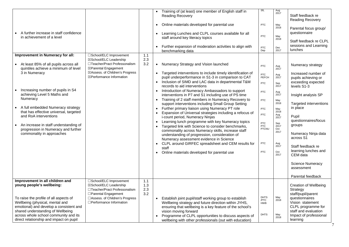| A further increase in staff confidence<br>in achievement of a level<br>Improvement in Numeracy for all:<br>At least 85% of all pupils across all<br>quintiles achieve a minimum of level<br>3 in Numeracy<br>Increasing number of pupils in S4<br>achieving Level 5 Maths and<br>Numeracy<br>A full embedded Numeracy strategy<br>that has effective universal, targeted<br>and RoA interventions<br>An increase in staff understanding of<br>progression in Numeracy and further<br>commonality in approaches | □School/ELC Improvement<br>⊠School/ELC Leadership<br>□Teacher/Pract Professonalism<br>⊠Parental Engagement<br>⊠Assess. of Children's Progress<br>⊠Performance Information  | 1.1<br>2.3<br>3.2        | $\bullet$<br>$\bullet$<br>$\bullet$<br>$\bullet$<br>$\bullet$<br>$\bullet$<br>$\bullet$ | Training of (at least) one member of English staff in<br><b>Reading Recovery</b><br>Online materials developed for parental use<br>Learning Lunches and CLPL courses available for all<br>staff around key literacy topics<br>Further expansion of moderation activities to align with<br>benchmarking data<br>Numeracy Strategy and Vision launched<br>Targeted interventions to include timely identification of<br>pupil underperformance in S1-3 in comparison to CAT<br>Inclusion of SIMD and LAC data in departmental T&M<br>records to aid interventions<br>Introduction of Numeracy Ambassadors to support<br>interventions in P7 and S1 including use of PS time<br>Training of 2 staff members in Numeracy Recovery to<br>support interventions including Small Group Setting<br>Further primary liaison using Numeracy PT role<br>Expansion of Universal strategies including a refocus of<br>i-count period, Numeracy Ninjas<br>Learning lunch programme with key Numeracy topics<br>Targeted link with Science to consider benchmarks,<br>commonality across Numeracy skills, increase staff<br>understanding of progression, consideration of<br>Numeracy assessment evidence in Science<br>CLPL around GIRFEC spreadsheet and CEM results for<br>staff<br>Online materials developed for parental use | SfL<br><b>PTC</b><br>PTC<br>PTC<br>Dep<br><b>PTC</b><br><b>PTC</b><br>PEFCH<br><b>PTC</b><br><b>PTC</b><br><b>PTC</b><br><b>PTC</b><br><b>PTC</b><br><b>PTC</b><br><b>PTC</b><br>PTCNU<br><b>PTC</b><br><b>PTC</b> | Aug<br>2017<br>May<br>2018<br>May<br>2018<br>Dec<br>2017<br>Aug<br>2017<br>Aug<br>2017<br>Sep<br>2017<br>Aug<br>2017<br>May<br>2018<br>May<br>2018<br>Aug<br>2017<br>Sep<br>2017<br>Oct<br>2017<br>Aug<br>2017<br>Oct<br>2017 | Staff feedback re<br><b>Reading Recovery</b><br>Parental focus group/<br>questionnaire<br>Staff feedback re CLPL<br>sessions and Learning<br>lunches<br>Numeracy strategy<br>Increased number of<br>pupils achieving or<br>exceeding expected<br>levels S1-3<br>Insight analysis SP<br>Targeted interventions<br>in place<br>Pupil<br>questionnaires/focus<br>groups<br>Numeracy Ninja data<br>across S1<br>Staff feedback re<br>learning lunches and<br>CEM data<br><b>Science Numeracy</b><br>assessment<br>Parental feedback |
|----------------------------------------------------------------------------------------------------------------------------------------------------------------------------------------------------------------------------------------------------------------------------------------------------------------------------------------------------------------------------------------------------------------------------------------------------------------------------------------------------------------|----------------------------------------------------------------------------------------------------------------------------------------------------------------------------|--------------------------|-----------------------------------------------------------------------------------------|----------------------------------------------------------------------------------------------------------------------------------------------------------------------------------------------------------------------------------------------------------------------------------------------------------------------------------------------------------------------------------------------------------------------------------------------------------------------------------------------------------------------------------------------------------------------------------------------------------------------------------------------------------------------------------------------------------------------------------------------------------------------------------------------------------------------------------------------------------------------------------------------------------------------------------------------------------------------------------------------------------------------------------------------------------------------------------------------------------------------------------------------------------------------------------------------------------------------------------------------------------------------------------------------------------------------|--------------------------------------------------------------------------------------------------------------------------------------------------------------------------------------------------------------------|-------------------------------------------------------------------------------------------------------------------------------------------------------------------------------------------------------------------------------|---------------------------------------------------------------------------------------------------------------------------------------------------------------------------------------------------------------------------------------------------------------------------------------------------------------------------------------------------------------------------------------------------------------------------------------------------------------------------------------------------------------------------------|
| Improvement in all children and<br>young people's wellbeing:<br>To raise the profile of all aspects of<br>Wellbeing (physical, mental and<br>emotional) and develop a consistent and<br>shared understanding of Wellbeing<br>across whole school community and its<br>direct relationship and impact on pupil                                                                                                                                                                                                  | □School/ELC Improvement<br>⊠School/ELC Leadership<br>□Teacher/Pract Professonalism<br>□Parental Engagement<br>□Assess. of Children's Progress<br>□ Performance Information | 1.1<br>1.3<br>2.3<br>3.2 | $\bullet$                                                                               | Establish joint pupil/staff working group to establish<br>Wellbeing strategy and future direction within JYHS,<br>ensuring that wellbeing is a key feature of the school's<br>vision moving forward<br>Programme of CLPL opportunities to discuss aspects of<br>wellbeing with other professionals (out with education)                                                                                                                                                                                                                                                                                                                                                                                                                                                                                                                                                                                                                                                                                                                                                                                                                                                                                                                                                                                              | <b>DHTS</b><br>/PTC<br><b>HWB</b><br><b>DHTS</b>                                                                                                                                                                   | May<br>2018<br>May<br>2018                                                                                                                                                                                                    | <b>Creation of Wellbeing</b><br>Strategy<br>staff/pupil/parent<br>questionnaires<br>Vision statement<br>CLPL programme for<br>staff and evaluation<br>Impact of professional<br>learning                                                                                                                                                                                                                                                                                                                                        |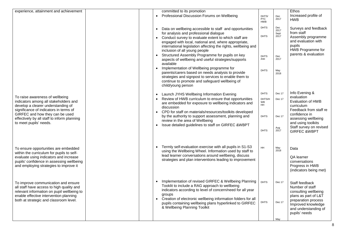| experience, attainment and achievement                                                                                                                                                                             |  | committed to its promotion<br>Professional Discussion Forums on Wellbeing<br>$\bullet$                                                                                                                                                                                                                                                     | DHTS/<br><b>PTC</b><br><b>HWB</b>        | Dec<br>2017                 | Ethos<br>Increased profile of<br><b>HWB</b>                                                                                                            |
|--------------------------------------------------------------------------------------------------------------------------------------------------------------------------------------------------------------------|--|--------------------------------------------------------------------------------------------------------------------------------------------------------------------------------------------------------------------------------------------------------------------------------------------------------------------------------------------|------------------------------------------|-----------------------------|--------------------------------------------------------------------------------------------------------------------------------------------------------|
|                                                                                                                                                                                                                    |  | Data on wellbeing accessible to staff and opportunities<br>for analysis and professional dialogue<br>• Conduct survey to evaluate extent to which staff are<br>engaged with local, national and, where appropriate,<br>international legislation affecting the rights, wellbeing and<br>inclusion of all young people                      | <b>DHTS</b><br><b>DHTS</b>               | Dec<br>2017<br>Sept<br>2017 | Surveys and feedback<br>from staff<br>Assembly programme<br>and evaluation with<br>pupils<br>HWB Programme for                                         |
|                                                                                                                                                                                                                    |  | Structured Assembly Programme for pupils on key<br>aspects of wellbeing and useful strategies/supports<br>available                                                                                                                                                                                                                        | <b>DHTS</b><br>/HH                       | Dec<br>2017                 | parents & evaluation                                                                                                                                   |
|                                                                                                                                                                                                                    |  | • Implementation of Wellbeing programme for<br>parents/carers based on needs analysis to provide<br>strategies and signpost to services to enable them to<br>continue to promote and safeguard wellbeing of<br>child/young person                                                                                                          | <b>DHTS</b>                              | May<br>2018                 |                                                                                                                                                        |
| To raise awareness of wellbeing<br>indicators among all stakeholders and<br>develop a clearer understanding of<br>significance of indicators in terms of                                                           |  | Launch JYHS Wellbeing Information Evening<br>Review of HWB curriculum to ensure that opportunities<br>are embedded for exposure to wellbeing indicators and<br>discussion                                                                                                                                                                  | <b>DHTS</b><br>DHTS/H<br>WB<br><b>HH</b> | Dec 17<br>Dec 17            | Info Evening &<br>evaluation<br>Evaluation of HWB<br>curriculum<br>Feedback from staff re                                                              |
| GIRFEC and how they can be used<br>effectively by all staff to inform planning<br>to meet pupils' needs.                                                                                                           |  | • CPD for staff on materials/resources/toolkits developed<br>by the authority to support assessment, planning and<br>review in the area of Wellbeing<br>• Issue detailed guidelines to staff on GIRFEC &WBPT                                                                                                                               | <b>DHTS</b><br><b>DHTS</b>               | Dec 17<br>Aug<br>2017       | confidence in<br>assessing wellbeing<br>and using toolkits<br>Staff survey on revised<br><b>GIRFEC &amp;WBPT</b>                                       |
| To ensure opportunities are embedded<br>within the curriculum for pupils to self-                                                                                                                                  |  | Termly self-evaluation exercise with all pupils in S1-S3<br>using the Wellbeing Wheel. Information used by staff to                                                                                                                                                                                                                        | <b>HH</b>                                | May<br>2018                 | Data                                                                                                                                                   |
| evaluate using indicators and increase<br>pupils' confidence in assessing wellbeing<br>and employing strategies to improve it                                                                                      |  | lead learner conversations around wellbeing, discuss<br>strategies and plan interventions leading to improvement                                                                                                                                                                                                                           |                                          |                             | QA learner<br>conversations<br>Progress in HWB<br>(indicators being met)                                                                               |
| To improve communication and ensure<br>all staff have access to high quality and<br>relevant information on pupil wellbeing to<br>enable effective intervention planning<br>both at strategic and classroom level. |  | Implementation of revised GIRFEC & Wellbeing Planning<br>Tooklit to include a RAG approach to wellbeing<br>indicators according to level of concern/need for all year<br>groups<br>Creation of electronic wellbeing information folders for all<br>pupils containing wellbeing plans hyperlinked to GIRFEC<br>& Wellbeing Planning Toolkit | <b>DHTS</b><br><b>DHTS</b>               | Dec 17<br>Dec 17            | Staff feedback<br>Number of staff<br>consulting wellbeing<br>plans as part of L&T<br>preparation process<br>Improved knowledge<br>and understanding of |
|                                                                                                                                                                                                                    |  |                                                                                                                                                                                                                                                                                                                                            |                                          | May                         | pupils' needs                                                                                                                                          |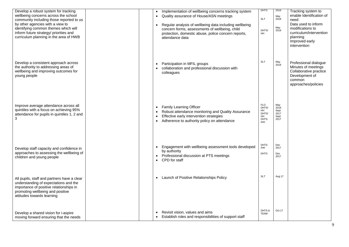| Develop a robust system for tracking<br>wellbeing concerns across the school<br>community including those reported to us<br>by other agencies with a view to<br>identifying common themes which will<br>inform future strategy/ priorities and<br>curriculum planning in the area of HWB |           | Implementation of wellbeing concerns tracking system<br>Quality assurance of House/ASN meetings<br>Regular analysis of wellbeing data including wellbeing<br>concern forms, assessments of wellbeing, child<br>protection, domestic abuse, police concern reports,<br>attendance data | <b>DHTS</b><br><b>SLT</b><br>DHTS/<br><b>HH</b>                       | 2018<br>May<br>2018<br>May<br>2018          | Tracking system to<br>enable Identification of<br>need<br>Data used to inform<br>modifications to<br>curriculum/intervention<br>planning<br>Improved early<br>intervention |
|------------------------------------------------------------------------------------------------------------------------------------------------------------------------------------------------------------------------------------------------------------------------------------------|-----------|---------------------------------------------------------------------------------------------------------------------------------------------------------------------------------------------------------------------------------------------------------------------------------------|-----------------------------------------------------------------------|---------------------------------------------|----------------------------------------------------------------------------------------------------------------------------------------------------------------------------|
| Develop a consistent approach across<br>the authority to addressing areas of<br>wellbeing and improving outcomes for<br>young people                                                                                                                                                     |           | Participation in MFIL groups<br>collaboration and professional discussion with<br>colleagues                                                                                                                                                                                          | <b>SLT</b>                                                            | May<br>2018                                 | Professional dialogue<br>Minutes of meetings<br>Collaborative practice<br>Development of<br>common<br>approaches/policies                                                  |
| Improve average attendance across all<br>quintiles with a focus on achieving 95%<br>attendance for pupils in quintiles 1, 2 and<br>3                                                                                                                                                     |           | <b>Family Learning Officer</b><br>Robust attendance monitoring and Quality Assurance<br>Effective early intervention strategies<br>Adherence to authority policy on attendance                                                                                                        | <b>FLO</b><br>DHTS/<br>HH<br>DHTS/<br><b>HH</b><br><b>DHTS</b><br>/HH | May<br>2018<br>Sept<br>2017<br>Sept<br>2017 |                                                                                                                                                                            |
| Develop staff capacity and confidence in<br>approaches to assessing the wellbeing of<br>children and young people                                                                                                                                                                        | $\bullet$ | Engagement with wellbeing assessment tools developed<br>by authority<br>Professional discussion at PTS meetings<br>CPD for staff                                                                                                                                                      | <b>DHTS</b><br>/HH<br><b>DHTS</b>                                     | Dec<br>2017<br>Dec<br>2017                  |                                                                                                                                                                            |
| All pupils, staff and partners have a clear<br>understanding of expectations and the<br>importance of positive relationships in<br>promoting wellbeing and positive<br>attitudes towards learning                                                                                        | $\bullet$ | Launch of Positive Relationships Policy                                                                                                                                                                                                                                               | <b>SLT</b>                                                            | Aug 17                                      |                                                                                                                                                                            |
| Develop a shared vision for i-aspire<br>moving forward ensuring that the needs                                                                                                                                                                                                           |           | Revisit vision, values and aims<br>Establish roles and responsibilities of support staff                                                                                                                                                                                              | DHTS &<br><b>TEAM</b>                                                 | Oct 17                                      |                                                                                                                                                                            |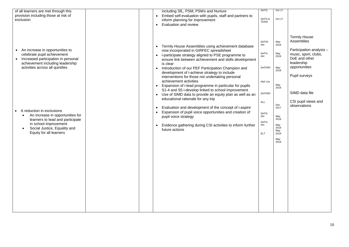| of all learners are met through this<br>provision including those at risk of<br>exclusion                                                                                                 | including SfL, PSM, PSWs and Nurture<br>• Embed self-evaluation with pupils, staff and partners to<br>inform planning for improvement<br>• Evaluation and review                                                                                                                                                                                                                                                                                                                                                                                                                                            | <b>DHTS</b><br>DHTS &<br><b>TEAM</b>                                                | Oct 17<br>Oct 17                                                        |                                                                                                                                                                          |
|-------------------------------------------------------------------------------------------------------------------------------------------------------------------------------------------|-------------------------------------------------------------------------------------------------------------------------------------------------------------------------------------------------------------------------------------------------------------------------------------------------------------------------------------------------------------------------------------------------------------------------------------------------------------------------------------------------------------------------------------------------------------------------------------------------------------|-------------------------------------------------------------------------------------|-------------------------------------------------------------------------|--------------------------------------------------------------------------------------------------------------------------------------------------------------------------|
| An increase in opportunities to<br>celebrate pupil achievement<br>Increased participation in personal<br>$\bullet$<br>achievement including leadership<br>activities across all quintiles | Termly House Assemblies using achievement database<br>now incorporated in GIRFEC spreadsheet<br>• i-participate strategy aligned to PSE programme to<br>ensure link between achievement and skills development<br>is clear<br>• Introduction of our PEF Participation Champion and<br>development of i-achieve strategy to include<br>interventions for those not undertaking personal<br>achievement activities<br>• Expansion of i-lead programme in particular for pupils<br>S1-4 and S5 i-develop linked to school improvement<br>Use of SIMD data to provide an equity plan as well as an<br>$\bullet$ | DHTS/<br>HH<br><b>DHTS</b><br><b>HH</b><br><b>DHTPEF</b><br>PEF CH<br><b>DHTPEF</b> | May<br>2018<br>May<br>2018<br>May<br>2018<br>May<br>2018                | <b>Termly House</b><br>Assemblies<br>Participation analysis -<br>music, sport, clubs,<br>DoE and other<br>leadership<br>opportunities<br>Pupil surveys<br>SIMD data file |
| A reduction in exclusions<br>An increase in opportunities for<br>learners to lead and participate<br>in school improvement<br>Social Justice, Equality and<br>Equity for all learners     | educational rationale for any trip<br>Evaluation and development of the concept of i-aspire<br>Expansion of pupil voice opportunities and creation of<br>$\bullet$<br>pupil voice strategy<br>• Evidence gathering during CSI activities to inform further<br>future actions                                                                                                                                                                                                                                                                                                                                | ALL<br><b>DHTS</b><br><b>HH</b><br><b>DHTS</b><br><b>HH</b><br><b>ELT</b>           | Dec<br>2017<br>May<br>2018<br>May<br>2018<br>May<br>2018<br>May<br>2018 | CSI pupil views and<br>observations                                                                                                                                      |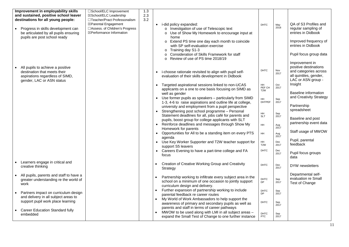| Improvement in employability skills     | □School/ELC Improvement             | 1.3 |           |                                                                            |                           |             |                            |
|-----------------------------------------|-------------------------------------|-----|-----------|----------------------------------------------------------------------------|---------------------------|-------------|----------------------------|
| and sustained, positive school leaver   | ⊠School/ELC Leadership              | 2.3 |           |                                                                            |                           |             |                            |
| destinations for all young people:      | □Teacher/Pract Professonalism       | 3.2 |           |                                                                            |                           |             |                            |
|                                         | ⊠Parental Engagement                |     |           | • i-did policy expanded:                                                   | <b>DHTC</b>               | May         | QA of S3 Profiles and      |
| Progress in skills development can      | □Assess. of Children's Progress     |     |           | o Investigation of use of Telescopic text                                  |                           | 2018        | regular sampling of        |
| be articulated by all pupils ensuring   | $\boxtimes$ Performance Information |     |           | o Use of Show My Homework to encourage input at                            |                           |             | entries in Didbook         |
| pupils are post school ready            |                                     |     |           | home                                                                       |                           |             |                            |
|                                         |                                     |     |           | o Extend PS time one day each month to coincide                            |                           |             | Improved frequency of      |
|                                         |                                     |     |           | with SP self-evaluation exercise                                           |                           |             | entries in Didbook         |
|                                         |                                     |     |           | $\circ$ Training day S1-3                                                  |                           |             |                            |
|                                         |                                     |     |           | Consideration of Skills Framework for staff                                |                           |             | Pupil focus group data     |
|                                         |                                     |     |           | o Review of use of PS time 2018/19                                         |                           |             |                            |
|                                         |                                     |     |           |                                                                            |                           |             | Improvement in             |
| All pupils to achieve a positive        |                                     |     |           |                                                                            |                           |             | positive destinations      |
| destination that meets their            |                                     |     | $\bullet$ | i-choose rationale revisited to align with pupil self-                     | <b>DHTC</b>               | Nov<br>2017 | and categories across      |
| aspirations regardless of SIMD,         |                                     |     |           | evaluation of their skills development in Didbook                          |                           |             | all quintiles, gender,     |
| gender, LAC or ASN status               |                                     |     |           |                                                                            |                           |             | LAC or ASN group -         |
|                                         |                                     |     |           | Targeted aspirational sessions linked to non-UCAS                          | HH<br>PEF CH              | Oct<br>2017 | Insight                    |
|                                         |                                     |     |           | applicants on a one to one basis focusing on SIMD as                       | T <sub>2</sub> W          |             |                            |
|                                         |                                     |     |           | well as gender                                                             |                           |             | Baseline information       |
|                                         |                                     |     |           | • Use former pupils as speakers - particularly from SIMD                   | HH.                       | Sep         | and Creativity Strategy    |
|                                         |                                     |     |           | 1-3, 4-6 to raise aspirations and outline life at college,                 | <b>DHTPEF</b>             | 2017        |                            |
|                                         |                                     |     |           | university and employment from a pupil perspective                         |                           |             | Partnership<br>spreadsheet |
|                                         |                                     |     |           | • Strengthening post school programme - Personal                           | HH.                       | Sep         |                            |
|                                         |                                     |     |           | Statement deadlines for all, jobs café for parents and                     | <b>SLT</b>                | 2017        | Baseline and post          |
|                                         |                                     |     |           | pupils, boost group for college applicants with SLT                        |                           |             | partnership event data     |
|                                         |                                     |     |           | Reinforce deadlines and messages through Show My                           | <b>HH</b>                 | Aug<br>2017 |                            |
|                                         |                                     |     |           | Homework for parents                                                       |                           |             | Staff usage of MWOW        |
|                                         |                                     |     | $\bullet$ | Opportunities for All to be a standing item on every PTS                   | HH                        | Aug<br>2017 |                            |
|                                         |                                     |     |           | agenda                                                                     |                           |             | Pupil, parental            |
|                                         |                                     |     |           | Use Key Worker Supporter and T2W teacher support for<br>support S5 leavers | HH.<br>T <sub>2</sub> W   | Dec<br>2017 | feedback                   |
|                                         |                                     |     |           |                                                                            | <b>DHTC</b>               | Dec         |                            |
|                                         |                                     |     | $\bullet$ | Careers Evening to have a part-time college and FA                         |                           | 2017        | Pupil focus groups         |
|                                         |                                     |     |           | focus                                                                      |                           |             | data                       |
| Learners engage in critical and         |                                     |     | $\bullet$ | Creation of Creative Working Group and Creativity                          |                           |             |                            |
| creative thinking                       |                                     |     |           | Strategy                                                                   | <b>DHTC</b>               | Dec<br>2017 | DYW newsletters            |
|                                         |                                     |     |           |                                                                            |                           |             |                            |
| All pupils, parents and staff to have a |                                     |     |           | Partnership working to infiltrate every subject area in the                |                           |             | Departmental self-         |
| greater understanding re the world of   |                                     |     |           | school on a minimum of one occasion to jointly support                     | <b>DHTC</b><br>DP         | Sep         | evaluation re Small        |
| work                                    |                                     |     |           | curriculum design and delivery.                                            |                           | 2017        | Test of Change             |
|                                         |                                     |     |           | Further expansion of partnership working to include                        | <b>DHTC</b>               |             |                            |
| Partners impact on curriculum design    |                                     |     |           | parental feedback re career routes                                         | <b>DP</b>                 | Sep<br>2017 |                            |
| and delivery in all subject areas to    |                                     |     |           | My World of Work Ambassadors to help support the                           |                           |             |                            |
| support pupil work place learning       |                                     |     |           | awareness of primary and secondary pupils as well as                       | DHTC                      | Sep         |                            |
|                                         |                                     |     |           | parents and staff in terms of career pathways                              |                           | 2017        |                            |
| <b>Career Education Standard fully</b>  |                                     |     |           | MWOW to be used along with LMI in all subject areas -                      |                           |             |                            |
| embedded                                |                                     |     |           | expand the Small Test of Change to one further instance                    | <b>DHTC</b><br><b>PTC</b> | Sep<br>2017 |                            |
|                                         |                                     |     |           |                                                                            |                           |             |                            |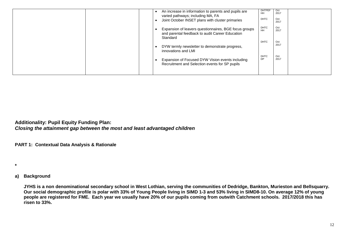|  | <b>DHTPE</b><br>Oct<br>An increase in information to parents and pupils are<br>2017<br>HH<br>varied pathways; including MA, FA<br><b>DHTC</b><br>Oct<br>Joint October INSET plans with cluster primaries<br>2017 |
|--|------------------------------------------------------------------------------------------------------------------------------------------------------------------------------------------------------------------|
|  | Oct<br><b>DHTC</b><br>Expansion of leavers questionnaires, BGE focus groups<br>2017<br><b>HH</b><br>and parental feedback to audit Career Education<br>Standard                                                  |
|  | <b>DHTC</b><br>Oct<br>2017<br>DYW termly newsletter to demonstrate progress,<br>innovations and LMI                                                                                                              |
|  | DHTC<br>Oct<br><b>DP</b><br>2017<br>Expansion of Focused DYW Vision events including<br>Recruitment and Selection events for SP pupils                                                                           |
|  |                                                                                                                                                                                                                  |

**Additionality: Pupil Equity Funding Plan:**  *Closing the attainment gap between the most and least advantaged children* 

**PART 1: Contextual Data Analysis & Rationale**

**\***

# **a) Background**

**JYHS is a non denominational secondary school in West Lothian, serving the communities of Dedridge, Bankton, Murieston and Bellsquarry. Our social demographic profile is polar with 33% of Young People living in SIMD 1-3 and 53% living in SIMD8-10. On average 12% of young people are registered for FME. Each year we usually have 20% of our pupils coming from outwith Catchment schools. 2017/2018 this has risen to 33%.**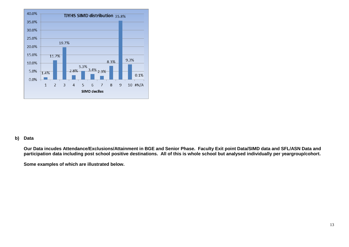

### **b) Data**

**Our Data incudes Attendance/Exclusions/Attainment in BGE and Senior Phase. Faculty Exit point Data/SIMD data and SFL/ASN Data and participation data including post school positive destinations. All of this is whole school but analysed individually per yeargroup/cohort.**

**Some examples of which are illustrated below.**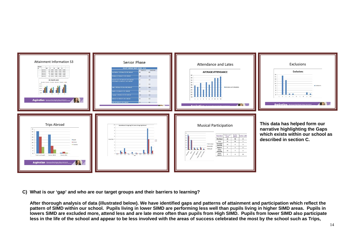

**C) What is our 'gap' and who are our target groups and their barriers to learning?**

**After thorough analysis of data (illustrated below). We have identified gaps and patterns of attainment and participation which reflect the pattern of SIMD within our school. Pupils living in lower SIMD are performing less well than pupils living in higher SIMD areas. Pupils in lowers SIMD are excluded more, attend less and are late more often than pupils from High SIMD. Pupils from lower SIMD also participate less in the life of the school and appear to be less involved with the areas of success celebrated the most by the school such as Trips,**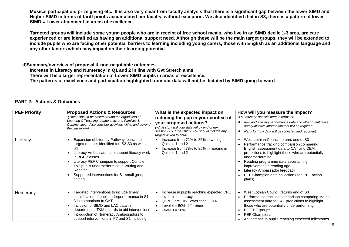**Musical participation, prize giving etc. It is also very clear from faculty analysis that there is a significant gap between the lower SIMD and Higher SIMD in terms of tariff points accumulated per faculty, without exception. We also identified that in S3, there is a pattern of lower SIMD = Lower attainment in areas of excellence.**

**Targeted groups will include some young people who are in receipt of free school meals, who live in an SIMD decile 1-3 area, are care experienced or are identified as having an additional support need. Although these will be the main target groups, they will be extended to include pupils who are facing other potential barriers to learning including young carers, those with English as an additional language and any other factors which may impact on their learning potential.**

#### **d)Summary/overview of proposal & non-negotiable outcomes**

**Increase in Literacy and Numeracy in Q1 and 2 in line with Gvt Stretch aims**

**There will be a larger representation of Lower SIMD pupils in areas of excellence.**

**The patterns of excellence and participation highlighted from our data will not be dictated by SIMD going forward**

#### **PART 2: Actions & Outcomes**

| <b>PEF Priority</b> | <b>Proposed Actions &amp; Resources</b><br>(These should be based around the organisers of<br>Learning & Teaching, Leadership, and Families &<br>Communities. Also consider activities within and beyond<br>the classroom)                                                                                                         | What is the expected impact on<br>reducing the gap in your context of<br>your proposed actions?<br>(What story will your data tell by end of next<br>session? By June 2020? You should include any<br>targets linked to data) | How will you measure the impact?<br>(You must be specific here in terms of:<br>new and existing performance data and other quantitative<br>and qualitative information that will be required<br>plans for how data will be collected and reported)                                                                                                                    |
|---------------------|------------------------------------------------------------------------------------------------------------------------------------------------------------------------------------------------------------------------------------------------------------------------------------------------------------------------------------|-------------------------------------------------------------------------------------------------------------------------------------------------------------------------------------------------------------------------------|-----------------------------------------------------------------------------------------------------------------------------------------------------------------------------------------------------------------------------------------------------------------------------------------------------------------------------------------------------------------------|
| Literacy            | Expansion of Literacy Pathway to include<br>targeted pupils identified for S2-S3 as well as<br>S1<br>Literacy Ambassadors to support literacy work<br>in BGE classes<br>Literacy PEF Champion to support Quintile<br>1&2 pupils underperforming in Writing and<br>Reading<br>Supported interventions for S1 small group<br>setting | Increase from 71% to 85% in writing in<br>Quintile 1 and 2<br>Increase from 78% to 85% in reading in<br>Quintile 1 and 2                                                                                                      | West Lothian Council returns end of S3<br>Performance tracking comparison comparing<br>English assessment data to CAT and CEM<br>predictions to highlight those who are potentially<br>underperforming<br>Reading programme data ascertaining<br>improvement in reading age<br>Literacy Ambassador feedback<br>PEF Champion data collection (see PEF action<br>plans) |
| Numeracy            | Targeted interventions to include timely<br>identification of pupil underperformance in S1-<br>3 in comparison to CAT<br>Inclusion of SIMD and LAC data in<br>departmental T&M records to aid interventions<br>Introduction of Numeracy Ambassadors to<br>support interventions in P7 and S1 including                             | Increase in pupils reaching expected CFE<br>levels in numeracy<br>$Q1 & 2$ are 10% lower than $Q3+4$<br>Level $4 = 50\%$ difference<br>• Level $3 = 10%$                                                                      | West Lothian Council returns end of S3<br>Performance tracking comparison comparing Maths<br>assessment data to CAT predictions to highlight<br>those who are potentially underperforming<br>BGE PF groups<br>PEF Champions<br>٠<br>An increase in pupils reaching expected milestones                                                                                |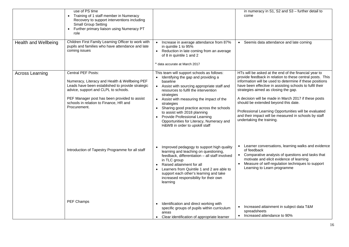|                             | use of PS time<br>Training of 1 staff member in Numeracy<br>Recovery to support interventions including<br><b>Small Group Setting</b><br>• Further primary liaison using Numeracy PT<br>role                                                                              |                                                                                                                                                                                                                                                                                                                                                                                                                                                                    | in numeracy in S1, S2 and S3 - further detail to<br>come                                                                                                                                                                                                                                                                                                                                                                                                                                                                          |
|-----------------------------|---------------------------------------------------------------------------------------------------------------------------------------------------------------------------------------------------------------------------------------------------------------------------|--------------------------------------------------------------------------------------------------------------------------------------------------------------------------------------------------------------------------------------------------------------------------------------------------------------------------------------------------------------------------------------------------------------------------------------------------------------------|-----------------------------------------------------------------------------------------------------------------------------------------------------------------------------------------------------------------------------------------------------------------------------------------------------------------------------------------------------------------------------------------------------------------------------------------------------------------------------------------------------------------------------------|
| <b>Health and Wellbeing</b> | Children First Family Learning Officer to work with<br>pupils and families who have attendance and late<br>coming issues                                                                                                                                                  | Increase in average attendance from 87%<br>in quintile 1 to 95%<br>Reduction in late coming from an average<br>of 8 in quintile 1 and 2<br>* data accurate at March 2017                                                                                                                                                                                                                                                                                           | • Seemis data attendance and late coming                                                                                                                                                                                                                                                                                                                                                                                                                                                                                          |
| <b>Across Learning</b>      | Central PEF Posts:<br>Numeracy, Literacy and Health & Wellbeing PEF<br>Leads have been established to provide strategic<br>advice, support and CLPL to schools.<br>PEF Manager post has been provided to assist<br>schools in relation to Finance, HR and<br>Procurement. | This team will support schools as follows:<br>Identifying the gap and providing a<br>baseline<br>• Assist with sourcing appropriate staff and<br>resources to fulfil the intervention<br>strategies<br>• Assist with measuring the impact of the<br>strategies<br>• Sharing good practice across the schools<br>to assist with 2018 planning<br><b>Provide Professional Learning</b><br>Opportunities for Literacy, Numeracy and<br>H&WB in order to upskill staff | HTs will be asked at the end of the financial year to<br>provide feedback in relation to these central posts. This<br>information will be used to determine if these positions<br>have been effective in assisting schools to fulfil their<br>strategies aimed as closing the gap.<br>A decision will be made in March 2017 if these posts<br>should be extended beyond this date.<br>Professional Learning Opportunities will be evaluated<br>and their impact will be measured in schools by staff<br>undertaking the training. |
|                             | Introduction of Tapestry Programme for all staff                                                                                                                                                                                                                          | Improved pedagogy to support high quality<br>learning and teaching on questioning,<br>feedback, differentiation - all staff involved<br>in TLC group<br>Raised attainment for all<br>Learners from Quintile 1 and 2 are able to<br>support each other's learning and take<br>increased responsibility for their own<br>learning                                                                                                                                    | • Learner conversations, learning walks and evidence<br>of feedback<br>• Comparative analysis of questions and tasks that<br>motivate and elicit evidence of learning<br>• Measure of self-regulation techniques to support<br>Learning to Learn programme                                                                                                                                                                                                                                                                        |
|                             | PEF Champs                                                                                                                                                                                                                                                                | Identification and direct working with<br>specific groups of pupils within curriculum<br>areas<br>• Clear identification of appropriate learner                                                                                                                                                                                                                                                                                                                    | Increased attainment in subject data T&M<br>spreadsheets<br>Increased attendance to 90%                                                                                                                                                                                                                                                                                                                                                                                                                                           |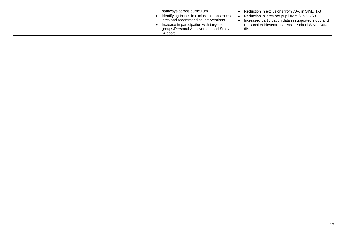|  | pathways across curriculum                  | Reduction in exclusions from 70% in SIMD 1-3        |
|--|---------------------------------------------|-----------------------------------------------------|
|  | Identifying trends in exclusions, absences, | Reduction in lates per pupil from 6 in S1-S3        |
|  | lates and recommending interventions        | Increased participation data in supported study and |
|  | Increase in participation with targeted     | Personal Achievement areas in School SIMD Data      |
|  | groups/Personal Achievement and Study       | file                                                |
|  | Support                                     |                                                     |